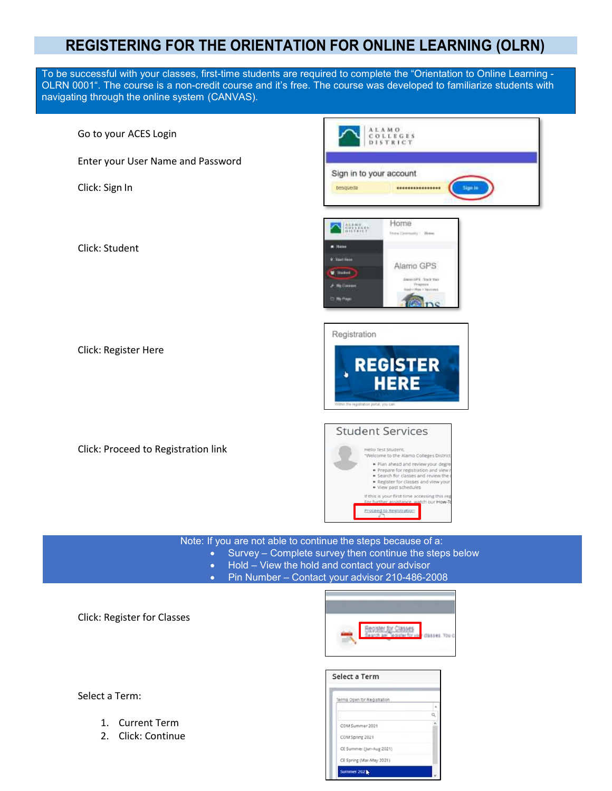## **REGISTERING FOR THE ORIENTATION FOR ONLINE LEARNING (OLRN)**

To be successful with your classes, first-time students are required to complete the "Orientation to Online Learning - OLRN 0001". The course is a non-credit course and it's free. The course was developed to familiarize students with navigating through the online system (CANVAS).



Note: If you are not able to continue the steps because of a:

- Survey Complete survey then continue the steps below
	- Hold View the hold and contact your advisor
	- Pin Number Contact your advisor 210-486-2008

Click: Register for Classes



| Select a Term               |  |
|-----------------------------|--|
| Terms Open for Registration |  |
|                             |  |
|                             |  |
| COM Summer 2021             |  |
| COM Spring 2021             |  |
| CE Summer (Jun-Aug 2021)    |  |
| CE Spring (Mar-May 2021)    |  |
| Summer 202                  |  |

Select a Term:

- 1. Current Term
- 2. Click: Continue